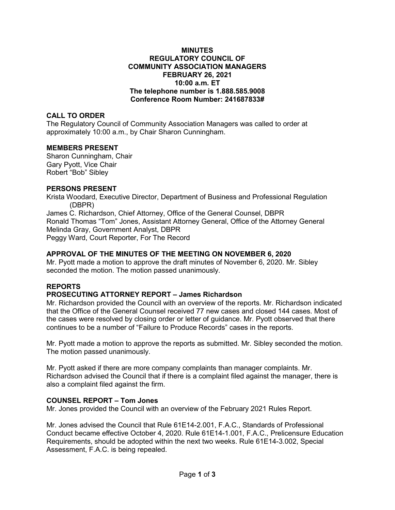#### **MINUTES REGULATORY COUNCIL OF COMMUNITY ASSOCIATION MANAGERS FEBRUARY 26, 2021 10:00 a.m. ET The telephone number is 1.888.585.9008 Conference Room Number: 241687833#**

## **CALL TO ORDER**

The Regulatory Council of Community Association Managers was called to order at approximately 10:00 a.m., by Chair Sharon Cunningham.

### **MEMBERS PRESENT**

Sharon Cunningham, Chair Gary Pyott, Vice Chair Robert "Bob" Sibley

### **PERSONS PRESENT**

Krista Woodard, Executive Director, Department of Business and Professional Regulation (DBPR) James C. Richardson, Chief Attorney, Office of the General Counsel, DBPR Ronald Thomas "Tom" Jones, Assistant Attorney General, Office of the Attorney General Melinda Gray, Government Analyst, DBPR Peggy Ward, Court Reporter, For The Record

## **APPROVAL OF THE MINUTES OF THE MEETING ON NOVEMBER 6, 2020**

Mr. Pyott made a motion to approve the draft minutes of November 6, 2020. Mr. Sibley seconded the motion. The motion passed unanimously.

# **REPORTS**

# **PROSECUTING ATTORNEY REPORT – James Richardson**

Mr. Richardson provided the Council with an overview of the reports. Mr. Richardson indicated that the Office of the General Counsel received 77 new cases and closed 144 cases. Most of the cases were resolved by closing order or letter of guidance. Mr. Pyott observed that there continues to be a number of "Failure to Produce Records" cases in the reports.

Mr. Pyott made a motion to approve the reports as submitted. Mr. Sibley seconded the motion. The motion passed unanimously.

Mr. Pyott asked if there are more company complaints than manager complaints. Mr. Richardson advised the Council that if there is a complaint filed against the manager, there is also a complaint filed against the firm.

# **COUNSEL REPORT – Tom Jones**

Mr. Jones provided the Council with an overview of the February 2021 Rules Report.

Mr. Jones advised the Council that Rule 61E14-2.001, F.A.C., Standards of Professional Conduct became effective October 4, 2020. Rule 61E14-1.001, F.A.C., Prelicensure Education Requirements, should be adopted within the next two weeks. Rule 61E14-3.002, Special Assessment, F.A.C. is being repealed.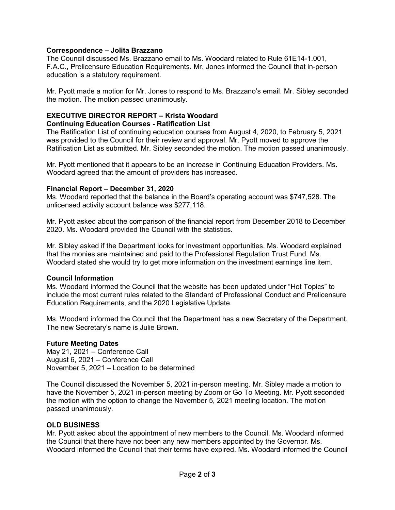### **Correspondence – Jolita Brazzano**

The Council discussed Ms. Brazzano email to Ms. Woodard related to Rule 61E14-1.001, F.A.C., Prelicensure Education Requirements. Mr. Jones informed the Council that in-person education is a statutory requirement.

Mr. Pyott made a motion for Mr. Jones to respond to Ms. Brazzano's email. Mr. Sibley seconded the motion. The motion passed unanimously.

### **EXECUTIVE DIRECTOR REPORT – Krista Woodard Continuing Education Courses - Ratification List**

The Ratification List of continuing education courses from August 4, 2020, to February 5, 2021 was provided to the Council for their review and approval. Mr. Pyott moved to approve the Ratification List as submitted. Mr. Sibley seconded the motion. The motion passed unanimously.

Mr. Pyott mentioned that it appears to be an increase in Continuing Education Providers. Ms. Woodard agreed that the amount of providers has increased.

#### **Financial Report – December 31, 2020**

Ms. Woodard reported that the balance in the Board's operating account was \$747,528. The unlicensed activity account balance was \$277,118.

Mr. Pyott asked about the comparison of the financial report from December 2018 to December 2020. Ms. Woodard provided the Council with the statistics.

Mr. Sibley asked if the Department looks for investment opportunities. Ms. Woodard explained that the monies are maintained and paid to the Professional Regulation Trust Fund. Ms. Woodard stated she would try to get more information on the investment earnings line item.

### **Council Information**

Ms. Woodard informed the Council that the website has been updated under "Hot Topics" to include the most current rules related to the Standard of Professional Conduct and Prelicensure Education Requirements, and the 2020 Legislative Update.

Ms. Woodard informed the Council that the Department has a new Secretary of the Department. The new Secretary's name is Julie Brown.

### **Future Meeting Dates**

May 21, 2021 – Conference Call August 6, 2021 – Conference Call November 5, 2021 – Location to be determined

The Council discussed the November 5, 2021 in-person meeting. Mr. Sibley made a motion to have the November 5, 2021 in-person meeting by Zoom or Go To Meeting. Mr. Pyott seconded the motion with the option to change the November 5, 2021 meeting location. The motion passed unanimously.

#### **OLD BUSINESS**

Mr. Pyott asked about the appointment of new members to the Council. Ms. Woodard informed the Council that there have not been any new members appointed by the Governor. Ms. Woodard informed the Council that their terms have expired. Ms. Woodard informed the Council